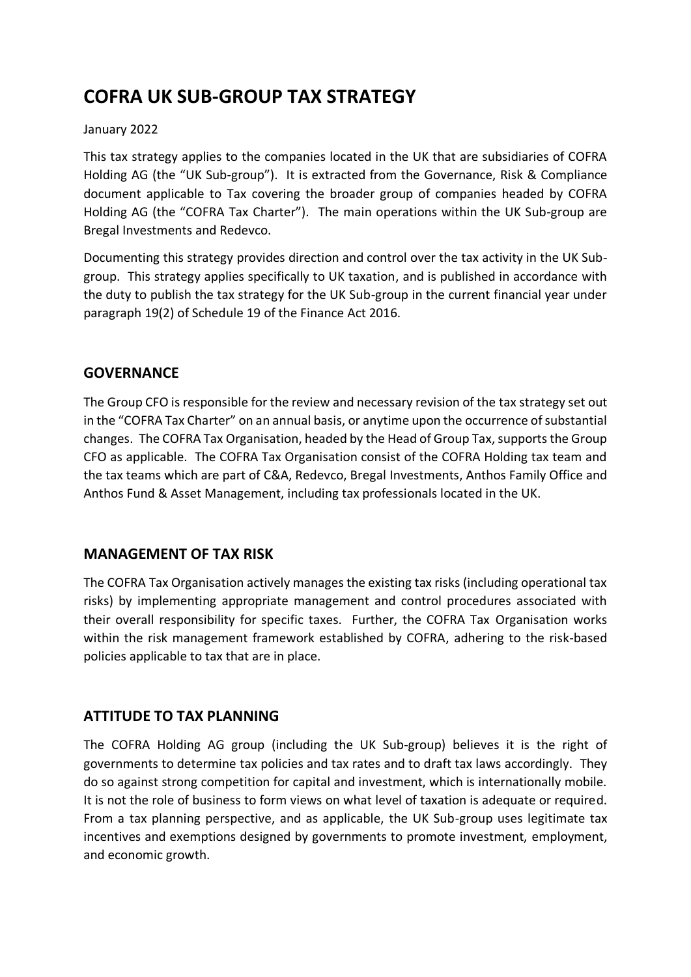# **COFRA UK SUB-GROUP TAX STRATEGY**

#### January 2022

This tax strategy applies to the companies located in the UK that are subsidiaries of COFRA Holding AG (the "UK Sub-group"). It is extracted from the Governance, Risk & Compliance document applicable to Tax covering the broader group of companies headed by COFRA Holding AG (the "COFRA Tax Charter"). The main operations within the UK Sub-group are Bregal Investments and Redevco.

Documenting this strategy provides direction and control over the tax activity in the UK Subgroup. This strategy applies specifically to UK taxation, and is published in accordance with the duty to publish the tax strategy for the UK Sub-group in the current financial year under paragraph 19(2) of Schedule 19 of the Finance Act 2016.

### **GOVERNANCE**

The Group CFO is responsible for the review and necessary revision of the tax strategy set out in the "COFRA Tax Charter" on an annual basis, or anytime upon the occurrence of substantial changes. The COFRA Tax Organisation, headed by the Head of Group Tax, supports the Group CFO as applicable. The COFRA Tax Organisation consist of the COFRA Holding tax team and the tax teams which are part of C&A, Redevco, Bregal Investments, Anthos Family Office and Anthos Fund & Asset Management, including tax professionals located in the UK.

### **MANAGEMENT OF TAX RISK**

The COFRA Tax Organisation actively manages the existing tax risks (including operational tax risks) by implementing appropriate management and control procedures associated with their overall responsibility for specific taxes. Further, the COFRA Tax Organisation works within the risk management framework established by COFRA, adhering to the risk-based policies applicable to tax that are in place.

### **ATTITUDE TO TAX PLANNING**

The COFRA Holding AG group (including the UK Sub-group) believes it is the right of governments to determine tax policies and tax rates and to draft tax laws accordingly. They do so against strong competition for capital and investment, which is internationally mobile. It is not the role of business to form views on what level of taxation is adequate or required. From a tax planning perspective, and as applicable, the UK Sub-group uses legitimate tax incentives and exemptions designed by governments to promote investment, employment, and economic growth.